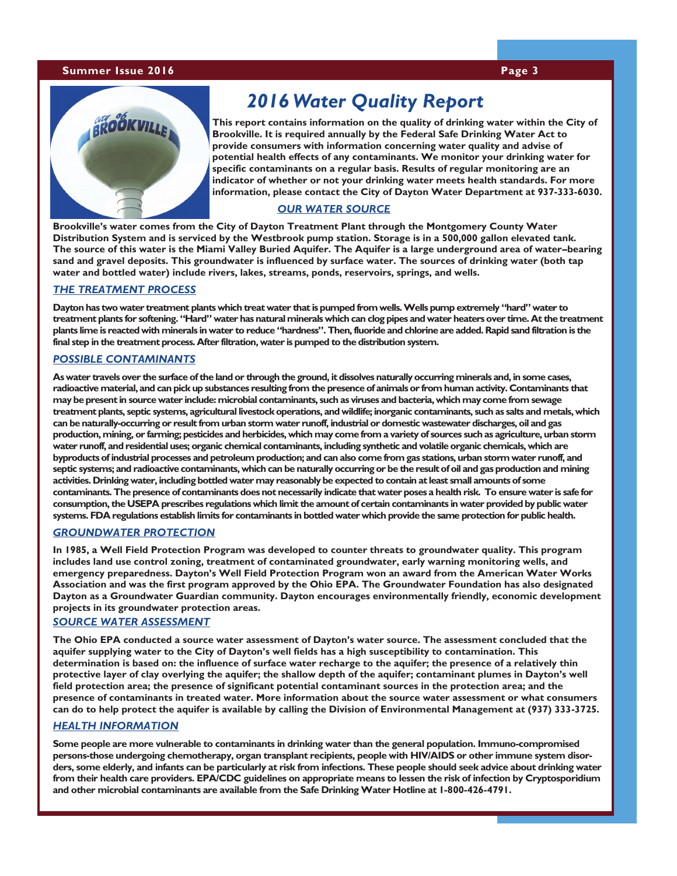#### **Summer Issue 2016 Page 3**



# *2016 Water Quality Report*

**This report contains information on the quality of drinking water within the City of Brookville. It is required annually by the Federal Safe Drinking Water Act to provide consumers with information concerning water quality and advise of potential health effects of any contaminants. We monitor your drinking water for specific contaminants on a regular basis. Results of regular monitoring are an indicator of whether or not your drinking water meets health standards. For more information, please contact the City of Dayton Water Department at 937-333-6030.**

### *OUR WATER SOURCE*

**Brookville's water comes from the City of Dayton Treatment Plant through the Montgomery County Water Distribution System and is serviced by the Westbrook pump station. Storage is in a 500,000 gallon elevated tank. The source of this water is the Miami Valley Buried Aquifer. The Aquifer is a large underground area of water–bearing sand and gravel deposits. This groundwater is influenced by surface water. The sources of drinking water (both tap water and bottled water) include rivers, lakes, streams, ponds, reservoirs, springs, and wells.** 

#### *THE TREATMENT PROCESS*

**Dayton has two water treatment plants which treat water that is pumped from wells. Wells pump extremely "hard" water to treatment plants for softening. "Hard" water has natural minerals which can clog pipes and water heaters over time. At the treatment plants lime is reacted with minerals in water to reduce "hardness". Then, fluoride and chlorine are added. Rapid sand filtration is the final step in the treatment process. After filtration, water is pumped to the distribution system.** 

#### *POSSIBLE CONTAMINANTS*

**As water travels over the surface of the land or through the ground, it dissolves naturally occurring minerals and, in some cases, radioactive material, and can pick up substances resulting from the presence of animals or from human activity. Contaminants that may be present in source water include: microbial contaminants, such as viruses and bacteria, which may come from sewage treatment plants, septic systems, agricultural livestock operations, and wildlife; inorganic contaminants, such as salts and metals, which can be naturally-occurring or result from urban storm water runoff, industrial or domestic wastewater discharges, oil and gas production, mining, or farming; pesticides and herbicides, which may come from a variety of sources such as agriculture, urban storm water runoff, and residential uses; organic chemical contaminants, including synthetic and volatile organic chemicals, which are byproducts of industrial processes and petroleum production; and can also come from gas stations, urban storm water runoff, and septic systems; and radioactive contaminants, which can be naturally occurring or be the result of oil and gas production and mining activities. Drinking water, including bottled water may reasonably be expected to contain at least small amounts of some contaminants. The presence of contaminants does not necessarily indicate that water poses a health risk. To ensure water is safe for consumption, the USEPA prescribes regulations which limit the amount of certain contaminants in water provided by public water systems. FDA regulations establish limits for contaminants in bottled water which provide the same protection for public health.**

#### *GROUNDWATER PROTECTION*

**In 1985, a Well Field Protection Program was developed to counter threats to groundwater quality. This program includes land use control zoning, treatment of contaminated groundwater, early warning monitoring wells, and emergency preparedness. Dayton's Well Field Protection Program won an award from the American Water Works Association and was the first program approved by the Ohio EPA. The Groundwater Foundation has also designated Dayton as a Groundwater Guardian community. Dayton encourages environmentally friendly, economic development projects in its groundwater protection areas.** 

#### *SOURCE WATER ASSESSMENT*

**The Ohio EPA conducted a source water assessment of Dayton's water source. The assessment concluded that the aquifer supplying water to the City of Dayton's well fields has a high susceptibility to contamination. This determination is based on: the influence of surface water recharge to the aquifer; the presence of a relatively thin protective layer of clay overlying the aquifer; the shallow depth of the aquifer; contaminant plumes in Dayton's well field protection area; the presence of significant potential contaminant sources in the protection area; and the presence of contaminants in treated water. More information about the source water assessment or what consumers can do to help protect the aquifer is available by calling the Division of Environmental Management at (937) 333-3725.**

#### *HEALTH INFORMATION*

**Some people are more vulnerable to contaminants in drinking water than the general population. Immuno-compromised persons-those undergoing chemotherapy, organ transplant recipients, people with HIV/AIDS or other immune system disorders, some elderly, and infants can be particularly at risk from infections. These people should seek advice about drinking water from their health care providers. EPA/CDC guidelines on appropriate means to lessen the risk of infection by Cryptosporidium and other microbial contaminants are available from the Safe Drinking Water Hotline at 1-800-426-4791.**